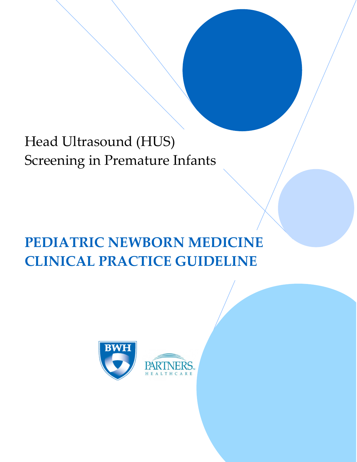# Head Ultrasound (HUS) Screening in Premature Infants

# **PEDIATRIC NEWBORN MEDICINE CLINICAL PRACTICE GUIDELINE**

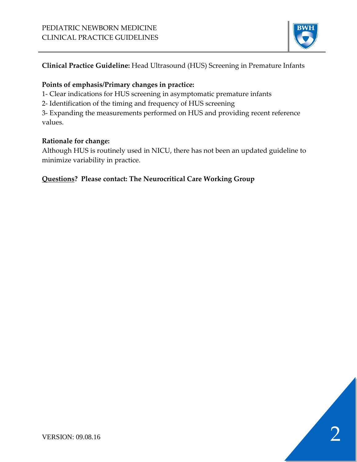

## **Clinical Practice Guideline:** Head Ultrasound (HUS) Screening in Premature Infants

## **Points of emphasis/Primary changes in practice:**

- 1- Clear indications for HUS screening in asymptomatic premature infants
- 2- Identification of the timing and frequency of HUS screening

3- Expanding the measurements performed on HUS and providing recent reference values.

## **Rationale for change:**

Although HUS is routinely used in NICU, there has not been an updated guideline to minimize variability in practice.

## **Questions? Please contact: The Neurocritical Care Working Group**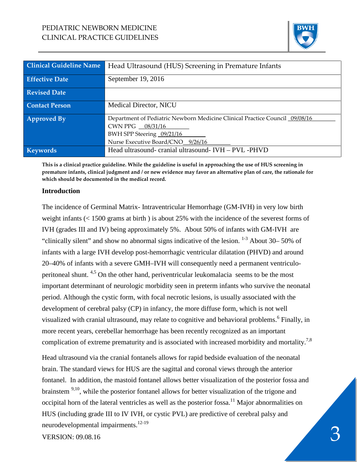## PEDIATRIC NEWBORN MEDICINE CLINICAL PRACTICE GUIDELINES



| <b>Clinical Guideline Name</b> | Head Ultrasound (HUS) Screening in Premature Infants                        |
|--------------------------------|-----------------------------------------------------------------------------|
|                                |                                                                             |
| <b>Effective Date</b>          | September 19, 2016                                                          |
|                                |                                                                             |
| <b>Revised Date</b>            |                                                                             |
|                                |                                                                             |
| <b>Contact Person</b>          | Medical Director, NICU                                                      |
|                                |                                                                             |
| <b>Approved By</b>             | Department of Pediatric Newborn Medicine Clinical Practice Council 09/08/16 |
|                                | CWN PPG _ 08/31/16                                                          |
|                                | BWH SPP Steering 09/21/16                                                   |
|                                | Nurse Executive Board/CNO_9/26/16                                           |
| <b>Keywords</b>                | Head ultrasound- cranial ultrasound- IVH - PVL -PHVD                        |
|                                |                                                                             |

**This is a clinical practice guideline. While the guideline is useful in approaching the use of HUS screening in premature infants, clinical judgment and / or new evidence may favor an alternative plan of care, the rationale for which should be documented in the medical record.**

#### **Introduction**

The incidence of Germinal Matrix- Intraventricular Hemorrhage (GM-IVH) in very low birth weight infants (< 1500 grams at birth ) is about 25% with the incidence of the severest forms of IVH (grades III and IV) being approximately 5%. About 50% of infants with GM-IVH are "clinically silent" and show no abnormal signs indicative of the lesion.  $1-3$  About 30–50% of infants with a large IVH develop post-hemorrhagic ventricular dilatation (PHVD) and around 20–40% of infants with a severe GMH–IVH will consequently need a permanent ventriculoperitoneal shunt. 4,5 On the other hand, periventricular leukomalacia seems to be the most important determinant of neurologic morbidity seen in preterm infants who survive the neonatal period. Although the cystic form, with focal necrotic lesions, is usually associated with the development of cerebral palsy (CP) in infancy, the more diffuse form, which is not well visualized with cranial ultrasound, may relate to cognitive and behavioral problems.<sup>6</sup> Finally, in more recent years, cerebellar hemorrhage has been recently recognized as an important complication of extreme prematurity and is associated with increased morbidity and mortality.<sup>7,8</sup>

Neurodevelopmental impairments.<br>VERSION: 09.08.16 Head ultrasound via the cranial fontanels allows for rapid bedside evaluation of the neonatal brain. The standard views for HUS are the sagittal and coronal views through the anterior fontanel. In addition, the mastoid fontanel allows better visualization of the posterior fossa and brainstem <sup>9,10</sup>, while the posterior fontanel allows for better visualization of the trigone and occipital horn of the lateral ventricles as well as the posterior fossa.<sup>11</sup> Major abnormalities on HUS (including grade III to IV IVH, or cystic PVL) are predictive of cerebral palsy and neurodevelopmental impairments. 12-19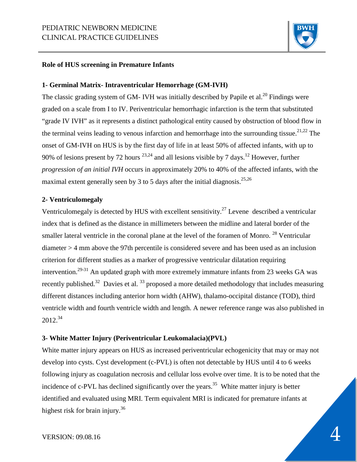

#### **Role of HUS screening in Premature Infants**

#### **1- Germinal Matrix- Intraventricular Hemorrhage (GM-IVH)**

The classic grading system of GM- IVH was initially described by Papile et al.<sup>20</sup> Findings were graded on a scale from I to IV. Periventricular hemorrhagic infarction is the term that substituted "grade IV IVH" as it represents a distinct pathological entity caused by obstruction of blood flow in the terminal veins leading to venous infarction and hemorrhage into the surrounding tissue.<sup>21,22</sup> The onset of GM-IVH on HUS is by the first day of life in at least 50% of affected infants, with up to 90% of lesions present by 72 hours  $^{23,24}$  and all lesions visible by 7 days.<sup>12</sup> However, further *progression of an initial IVH* occurs in approximately 20% to 40% of the affected infants, with the maximal extent generally seen by 3 to 5 days after the initial diagnosis.<sup>25,26</sup>

#### **2- Ventriculomegaly**

Ventriculomegaly is detected by HUS with excellent sensitivity.<sup>27</sup> Levene described a ventricular index that is defined as the distance in millimeters between the midline and lateral border of the smaller lateral ventricle in the coronal plane at the level of the foramen of Monro.<sup>28</sup> Ventricular diameter > 4 mm above the 97th percentile is considered severe and has been used as an inclusion criterion for different studies as a marker of progressive ventricular dilatation requiring intervention.<sup>29-31</sup> An updated graph with more extremely immature infants from 23 weeks GA was recently published.<sup>32</sup> Davies et al.  $33$  proposed a more detailed methodology that includes measuring different distances including anterior horn width (AHW), thalamo-occipital distance (TOD), third ventricle width and fourth ventricle width and length. A newer reference range was also published in 2012. 34

#### **3- White Matter Injury (Periventricular Leukomalacia)(PVL)**

White matter injury appears on HUS as increased periventricular echogenicity that may or may not develop into cysts. Cyst development (c-PVL) is often not detectable by HUS until 4 to 6 weeks following injury as coagulation necrosis and cellular loss evolve over time. It is to be noted that the incidence of c-PVL has declined significantly over the years.<sup>35</sup> White matter injury is better identified and evaluated using MRI. Term equivalent MRI is indicated for premature infants at highest risk for brain injury.<sup>36</sup>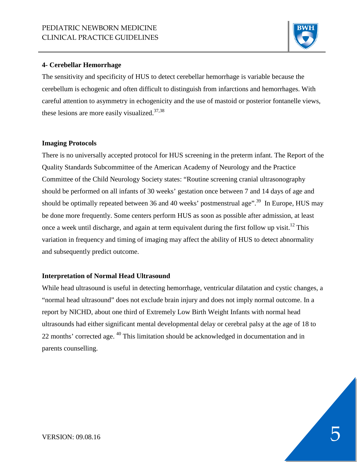

#### **4- Cerebellar Hemorrhage**

The sensitivity and specificity of HUS to detect cerebellar hemorrhage is variable because the cerebellum is echogenic and often difficult to distinguish from infarctions and hemorrhages. With careful attention to asymmetry in echogenicity and the use of mastoid or posterior fontanelle views, these lesions are more easily visualized.<sup>37,38</sup>

#### **Imaging Protocols**

There is no universally accepted protocol for HUS screening in the preterm infant. The Report of the Quality Standards Subcommittee of the American Academy of Neurology and the Practice Committee of the Child Neurology Society states: "Routine screening cranial ultrasonography should be performed on all infants of 30 weeks' gestation once between 7 and 14 days of age and should be optimally repeated between 36 and 40 weeks' postmenstrual age".<sup>39</sup> In Europe, HUS may be done more frequently. Some centers perform HUS as soon as possible after admission, at least once a week until discharge, and again at term equivalent during the first follow up visit.<sup>12</sup> This variation in frequency and timing of imaging may affect the ability of HUS to detect abnormality and subsequently predict outcome.

#### **Interpretation of Normal Head Ultrasound**

While head ultrasound is useful in detecting hemorrhage, ventricular dilatation and cystic changes, a "normal head ultrasound" does not exclude brain injury and does not imply normal outcome. In a report by NICHD, about one third of Extremely Low Birth Weight Infants with normal head ultrasounds had either significant mental developmental delay or cerebral palsy at the age of 18 to 22 months' corrected age. 40 This limitation should be acknowledged in documentation and in parents counselling.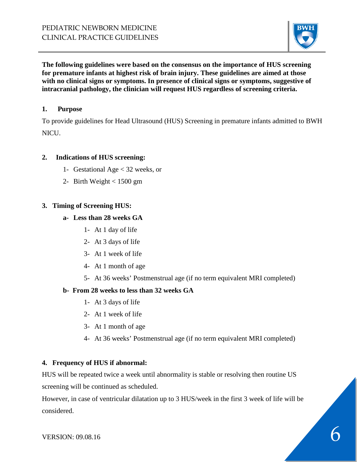

**The following guidelines were based on the consensus on the importance of HUS screening for premature infants at highest risk of brain injury. These guidelines are aimed at those with no clinical signs or symptoms. In presence of clinical signs or symptoms, suggestive of intracranial pathology, the clinician will request HUS regardless of screening criteria.** 

## **1. Purpose**

To provide guidelines for Head Ultrasound (HUS) Screening in premature infants admitted to BWH NICU.

## **2. Indications of HUS screening:**

- 1- Gestational Age < 32 weeks, or
- 2- Birth Weight < 1500 gm

## **3. Timing of Screening HUS:**

#### **a- Less than 28 weeks GA**

- 1- At 1 day of life
- 2- At 3 days of life
- 3- At 1 week of life
- 4- At 1 month of age
- 5- At 36 weeks' Postmenstrual age (if no term equivalent MRI completed)

## **b- From 28 weeks to less than 32 weeks GA**

- 1- At 3 days of life
- 2- At 1 week of life
- 3- At 1 month of age
- 4- At 36 weeks' Postmenstrual age (if no term equivalent MRI completed)

## **4. Frequency of HUS if abnormal:**

HUS will be repeated twice a week until abnormality is stable or resolving then routine US screening will be continued as scheduled.

However, in case of ventricular dilatation up to 3 HUS/week in the first 3 week of life will be considered.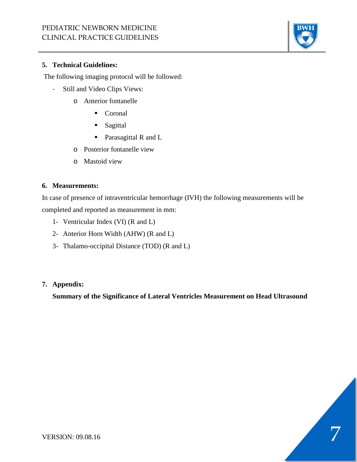

#### **5. Technical Guidelines:**

The following imaging protocol will be followed:

- Still and Video Clips Views:
	- o Anterior fontanelle
		- Coronal
		- **Sagittal**
		- **Parasagittal R and L**
	- o Posterior fontanelle view
	- o Mastoid view

#### **6. Measurements:**

In case of presence of intraventricular hemorrhage (IVH) the following measurements will be completed and reported as measurement in mm:

- 1- Ventricular Index (VI) (R and L)
- 2- Anterior Horn Width (AHW) (R and L)
- 3- Thalamo-occipital Distance (TOD) (R and L)

## **7. Appendix:**

**Summary of the Significance of Lateral Ventricles Measurement on Head Ultrasound**

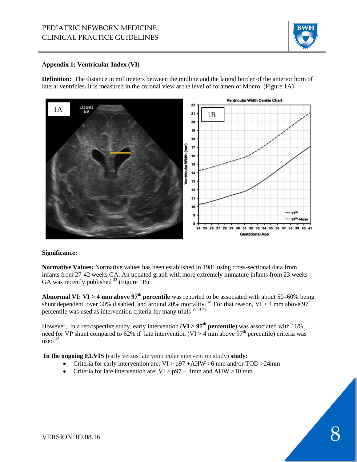

#### **Appendix 1: Ventricular Index (VI)**

**Definition:** The distance in millimeters between the midline and the lateral border of the anterior horn of lateral ventricles**.** It is measured in the coronal view at the level of foramen of Monro. (Figure 1A)



#### **Significance:**

**Normative Values:** Normative values has been established in 1981 using cross-sectional data from infants from 27-42 weeks GA. An updated graph with more extremely immature infants from 23 weeks GA was recently published  $32$  (Figure 1B)

Abnormal VI: VI > 4 mm above 97<sup>th</sup> percentile was reported to be associated with about 50–60% being shunt dependent, over 60% disabled, and around 20% mortality. <sup>41</sup> For that reason, VI > 4 mm above 97<sup>th</sup> percentile was used as intervention criteria for many trials  $^{29,31,42}$ 

However, in a retrospective study, early intervention (**VI > 97th percentile**) was associated with 16% need for VP shunt compared to 62% if late intervention (VI > 4 mm above  $97<sup>th</sup>$  percentile) criteria was used  $43$ 

**In the ongoing ELVIS (**early versus late ventricular intervention study) **study:**

- Criteria for early intervention are: VI > p97 +AHW >6 mm and/or TOD >24mm
- Criteria for late intervention are:  $VI > p97 + 4mm$  and AHW >10 mm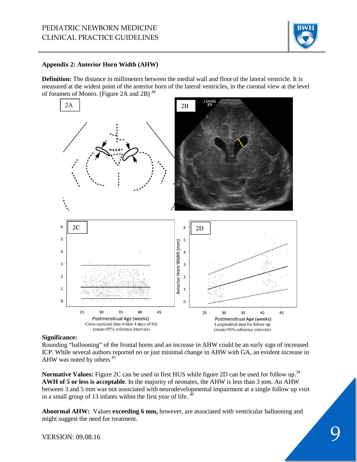

#### **Appendix 2: Anterior Horn Width (AHW)**

**Definition:** The distance in millimeters between the medial wall and floor of the lateral ventricle. It is measured at the widest point of the anterior horn of the lateral ventricles, in the coronal view at the level of foramen of Monro. (Figure 2A and 2B)<sup>44</sup>



#### **Significance:**

Rounding "ballooning" of the frontal horns and an increase in AHW could be an early sign of increased ICP. While several authors reported no or just minimal change in AHW with GA, an evident increase in AHW was noted by others <sup>45</sup>

**Normative Values:** Figure 2C can be used in first HUS while figure 2D can be used for follow up.<sup>34</sup> **AWH of 5 or less is acceptable**. In the majority of neonates, the AHW is less than 3 mm. An AHW between 3 and 5 mm was not associated with neurodevelopmental impairment at a single follow up visit in a small group of 13 infants within the first year of life.  $46$ 

**Abnormal AHW:** Values **exceeding 6 mm,** however, are associated with ventricular ballooning and might suggest the need for treatment.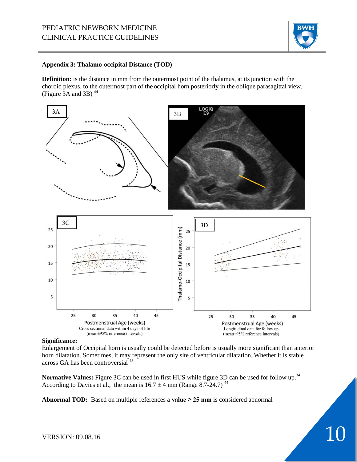## PEDIATRIC NEWBORN MEDICINE CLINICAL PRACTICE GUIDELINES



#### **Appendix 3: Thalamo-occipital Distance (TOD)**

**Definition:** is the distance in mm from the outermost point of the thalamus, at itsjunction with the choroid plexus, to the outermost part of the occipital horn posteriorly in the oblique parasagittal view. (Figure  $3A$  and  $3B$ )<sup>44</sup>



#### **Significance:**

Enlargement of Occipital horn is usually could be detected before is usually more significant than anterior horn dilatation. Sometimes, it may represent the only site of ventricular dilatation. Whether it is stable across GA has been controversial 45

**Normative Values:** Figure 3C can be used in first HUS while figure 3D can be used for follow up.34 According to Davies et al., the mean is  $16.7 \pm 4$  mm (Range 8.7-24.7)<sup>44</sup>

**Abnormal TOD:** Based on multiple references a **value ≥ 25 mm** is considered abnormal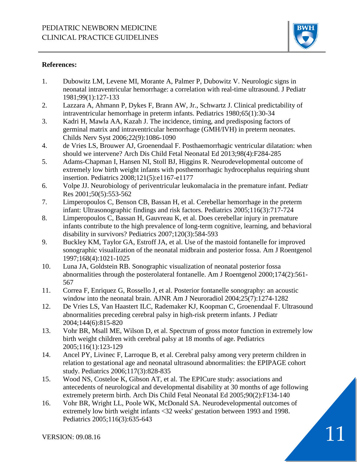

### **References:**

- 1. Dubowitz LM, Levene MI, Morante A, Palmer P, Dubowitz V. Neurologic signs in neonatal intraventricular hemorrhage: a correlation with real-time ultrasound. J Pediatr 1981;99(1):127-133
- 2. Lazzara A, Ahmann P, Dykes F, Brann AW, Jr., Schwartz J. Clinical predictability of intraventricular hemorrhage in preterm infants. Pediatrics 1980;65(1):30-34
- 3. Kadri H, Mawla AA, Kazah J. The incidence, timing, and predisposing factors of germinal matrix and intraventricular hemorrhage (GMH/IVH) in preterm neonates. Childs Nerv Syst 2006;22(9):1086-1090
- 4. de Vries LS, Brouwer AJ, Groenendaal F. Posthaemorrhagic ventricular dilatation: when should we intervene? Arch Dis Child Fetal Neonatal Ed 2013;98(4):F284-285
- 5. Adams-Chapman I, Hansen NI, Stoll BJ, Higgins R. Neurodevelopmental outcome of extremely low birth weight infants with posthemorrhagic hydrocephalus requiring shunt insertion. Pediatrics 2008;121(5):e1167-e1177
- 6. Volpe JJ. Neurobiology of periventricular leukomalacia in the premature infant. Pediatr Res 2001;50(5):553-562
- 7. Limperopoulos C, Benson CB, Bassan H, et al. Cerebellar hemorrhage in the preterm infant: Ultrasonographic findings and risk factors. Pediatrics 2005;116(3):717-724
- 8. Limperopoulos C, Bassan H, Gauvreau K, et al. Does cerebellar injury in premature infants contribute to the high prevalence of long-term cognitive, learning, and behavioral disability in survivors? Pediatrics 2007;120(3):584-593
- 9. Buckley KM, Taylor GA, Estroff JA, et al. Use of the mastoid fontanelle for improved sonographic visualization of the neonatal midbrain and posterior fossa. Am J Roentgenol 1997;168(4):1021-1025
- 10. Luna JA, Goldstein RB. Sonographic visualization of neonatal posterior fossa abnormalities through the posterolateral fontanelle. Am J Roentgenol 2000;174(2):561- 567
- 11. Correa F, Enriquez G, Rossello J, et al. Posterior fontanelle sonography: an acoustic window into the neonatal brain. AJNR Am J Neuroradiol 2004;25(7):1274-1282
- 12. De Vries LS, Van Haastert ILC, Rademaker KJ, Koopman C, Groenendaal F. Ultrasound abnormalities preceding cerebral palsy in high-risk preterm infants. J Pediatr 2004;144(6):815-820
- 13. Vohr BR, Msall ME, Wilson D, et al. Spectrum of gross motor function in extremely low birth weight children with cerebral palsy at 18 months of age. Pediatrics 2005;116(1):123-129
- 14. Ancel PY, Livinec F, Larroque B, et al. Cerebral palsy among very preterm children in relation to gestational age and neonatal ultrasound abnormalities: the EPIPAGE cohort study. Pediatrics 2006;117(3):828-835
- 15. Wood NS, Costeloe K, Gibson AT, et al. The EPICure study: associations and antecedents of neurological and developmental disability at 30 months of age following extremely preterm birth. Arch Dis Child Fetal Neonatal Ed 2005;90(2):F134-140
- 16. Vohr BR, Wright LL, Poole WK, McDonald SA. Neurodevelopmental outcomes of extremely low birth weight infants <32 weeks' gestation between 1993 and 1998. Pediatrics 2005;116(3):635-643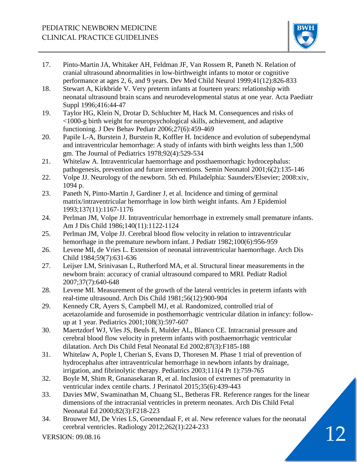

- 17. Pinto-Martin JA, Whitaker AH, Feldman JF, Van Rossem R, Paneth N. Relation of cranial ultrasound abnormalities in low-birthweight infants to motor or cognitive performance at ages 2, 6, and 9 years. Dev Med Child Neurol 1999;41(12):826-833
- 18. Stewart A, Kirkbride V. Very preterm infants at fourteen years: relationship with neonatal ultrasound brain scans and neurodevelopmental status at one year. Acta Paediatr Suppl 1996;416:44-47
- 19. Taylor HG, Klein N, Drotar D, Schluchter M, Hack M. Consequences and risks of <1000-g birth weight for neuropsychological skills, achievement, and adaptive functioning. J Dev Behav Pediatr 2006;27(6):459-469
- 20. Papile L-A, Burstein J, Burstein R, Koffler H. Incidence and evolution of subependymal and intraventricular hemorrhage: A study of infants with birth weights less than 1,500 gm. The Journal of Pediatrics 1978;92(4):529-534
- 21. Whitelaw A. Intraventricular haemorrhage and posthaemorrhagic hydrocephalus: pathogenesis, prevention and future interventions. Semin Neonatol 2001;6(2):135-146
- 22. Volpe JJ. Neurology of the newborn. 5th ed. Philadelphia: Saunders/Elsevier; 2008:xiv, 1094 p.
- 23. Paneth N, Pinto-Martin J, Gardiner J, et al. Incidence and timing of germinal matrix/intraventricular hemorrhage in low birth weight infants. Am J Epidemiol 1993;137(11):1167-1176
- 24. Perlman JM, Volpe JJ. Intraventricular hemorrhage in extremely small premature infants. Am J Dis Child 1986;140(11):1122-1124
- 25. Perlman JM, Volpe JJ. Cerebral blood flow velocity in relation to intraventricular hemorrhage in the premature newborn infant. J Pediatr 1982;100(6):956-959
- 26. Levene MI, de Vries L. Extension of neonatal intraventricular haemorrhage. Arch Dis Child 1984;59(7):631-636
- 27. Leijser LM, Srinivasan L, Rutherford MA, et al. Structural linear measurements in the newborn brain: accuracy of cranial ultrasound compared to MRI. Pediatr Radiol 2007;37(7):640-648
- 28. Levene MI. Measurement of the growth of the lateral ventricles in preterm infants with real-time ultrasound. Arch Dis Child 1981;56(12):900-904
- 29. Kennedy CR, Ayers S, Campbell MJ, et al. Randomized, controlled trial of acetazolamide and furosemide in posthemorrhagic ventricular dilation in infancy: followup at 1 year. Pediatrics 2001;108(3):597-607
- 30. Maertzdorf WJ, Vles JS, Beuls E, Mulder AL, Blanco CE. Intracranial pressure and cerebral blood flow velocity in preterm infants with posthaemorrhagic ventricular dilatation. Arch Dis Child Fetal Neonatal Ed 2002;87(3):F185-188
- 31. Whitelaw A, Pople I, Cherian S, Evans D, Thoresen M. Phase 1 trial of prevention of hydrocephalus after intraventricular hemorrhage in newborn infants by drainage, irrigation, and fibrinolytic therapy. Pediatrics 2003;111(4 Pt 1):759-765
- 32. Boyle M, Shim R, Gnanasekaran R, et al. Inclusion of extremes of prematurity in ventricular index centile charts. J Perinatol 2015;35(6):439-443
- 33. Davies MW, Swaminathan M, Chuang SL, Betheras FR. Reference ranges for the linear dimensions of the intracranial ventricles in preterm neonates. Arch Dis Child Fetal Neonatal Ed 2000;82(3):F218-223
- cerebral ventricles. Radiology 2012;262(1):224-233<br>VERSION: 09.08.16 12 34. Brouwer MJ, De Vries LS, Groenendaal F, et al. New reference values for the neonatal